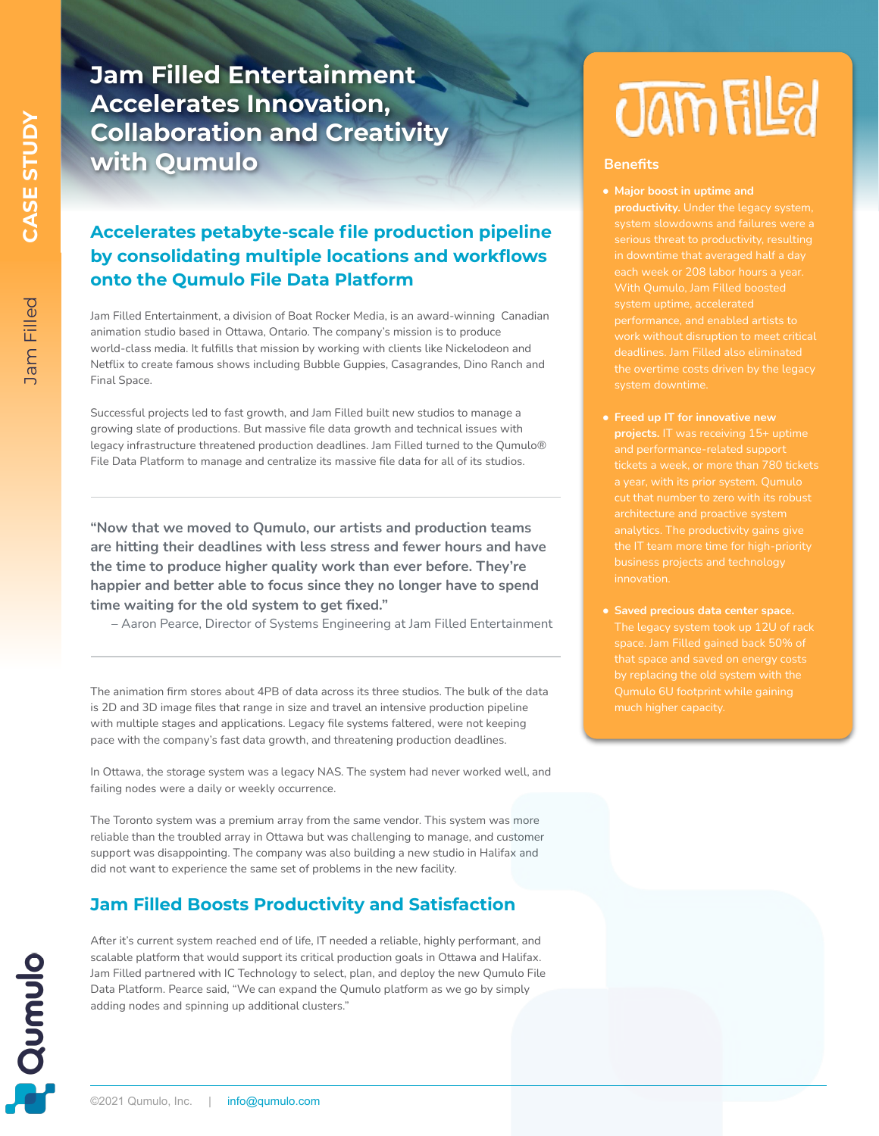Jam Filled

# **Jam Filled Entertainment Accelerates Innovation, Collaboration and Creativity with Qumulo**

# **Accelerates petabyte-scale file production pipeline by consolidating multiple locations and workflows onto the Qumulo File Data Platform**

Jam Filled Entertainment, a division of Boat Rocker Media, is an award-winning Canadian animation studio based in Ottawa, Ontario. The company's mission is to produce world-class media. It fulfills that mission by working with clients like Nickelodeon and Netflix to create famous shows including Bubble Guppies, Casagrandes, Dino Ranch and Final Space.

Successful projects led to fast growth, and Jam Filled built new studios to manage a growing slate of productions. But massive file data growth and technical issues with legacy infrastructure threatened production deadlines. Jam Filled turned to the Qumulo® File Data Platform to manage and centralize its massive file data for all of its studios.

**"Now that we moved to Qumulo, our artists and production teams are hitting their deadlines with less stress and fewer hours and have the time to produce higher quality work than ever before. They're happier and better able to focus since they no longer have to spend time waiting for the old system to get fixed."**

– Aaron Pearce, Director of Systems Engineering at Jam Filled Entertainment

The animation firm stores about 4PB of data across its three studios. The bulk of the data is 2D and 3D image files that range in size and travel an intensive production pipeline with multiple stages and applications. Legacy file systems faltered, were not keeping pace with the company's fast data growth, and threatening production deadlines.

In Ottawa, the storage system was a legacy NAS. The system had never worked well, and failing nodes were a daily or weekly occurrence.

The Toronto system was a premium array from the same vendor. This system was more reliable than the troubled array in Ottawa but was challenging to manage, and customer support was disappointing. The company was also building a new studio in Halifax and did not want to experience the same set of problems in the new facility.

### **Jam Filled Boosts Productivity and Satisfaction**

After it's current system reached end of life, IT needed a reliable, highly performant, and scalable platform that would support its critical production goals in Ottawa and Halifax. Jam Filled partnered with IC Technology to select, plan, and deploy the new Qumulo File Data Platform. Pearce said, "We can expand the Qumulo platform as we go by simply adding nodes and spinning up additional clusters."

# **JAMFILEd**

#### **Benefits**

- **Major boost in uptime and productivity.** Under the legacy system, serious threat to productivity, resulting each week or 208 labor hours a year. With Qumulo, Jam Filled boosted work without disruption to meet critical deadlines. Jam Filled also eliminated the overtime costs driven by the legacy
- **Freed up IT for innovative new projects.** IT was receiving 15+ uptime tickets a week, or more than 780 tickets a year, with its prior system. Qumulo
- **Saved precious data center space.**  space. Jam Filled gained back 50% of that space and saved on energy costs